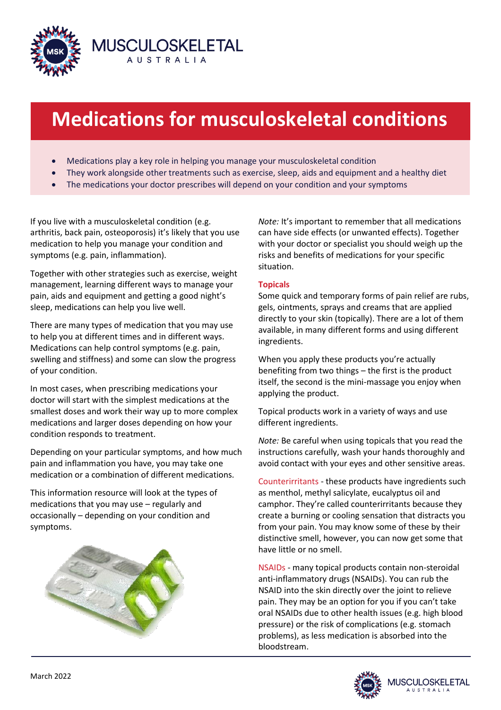

# **Medications for musculoskeletal conditions**

Medications play a key role in helping you manage your musculoskeletal condition

**MUSCULOSKELETAL** AUSTRALIA

- They work alongside other treatments such as exercise, sleep, aids and equipment and a healthy diet
- The medications your doctor prescribes will depend on your condition and your symptoms

If you live with a musculoskeletal condition (e.g. arthritis, back pain, osteoporosis) it's likely that you use medication to help you manage your condition and symptoms (e.g. pain, inflammation).

Together with other strategies such as exercise, weight management, learning different ways to manage your pain, aids and equipment and getting a good night's sleep, medications can help you live well.

There are many types of medication that you may use to help you at different times and in different ways. Medications can help control symptoms (e.g. pain, swelling and stiffness) and some can slow the progress of your condition.

In most cases, when prescribing medications your doctor will start with the simplest medications at the smallest doses and work their way up to more complex medications and larger doses depending on how your condition responds to treatment.

Depending on your particular symptoms, and how much pain and inflammation you have, you may take one medication or a combination of different medications.

This information resource will look at the types of medications that you may use – regularly and occasionally – depending on your condition and symptoms.



*Note:* It's important to remember that all medications can have side effects (or unwanted effects). Together with your doctor or specialist you should weigh up the risks and benefits of medications for your specific situation.

## **Topicals**

Some quick and temporary forms of pain relief are rubs, gels, ointments, sprays and creams that are applied directly to your skin (topically). There are a lot of them available, in many different forms and using different ingredients.

When you apply these products you're actually benefiting from two things – the first is the product itself, the second is the mini-massage you enjoy when applying the product.

Topical products work in a variety of ways and use different ingredients.

*Note:* Be careful when using topicals that you read the instructions carefully, wash your hands thoroughly and avoid contact with your eyes and other sensitive areas.

Counterirritants - these products have ingredients such as menthol, methyl salicylate, eucalyptus oil and camphor. They're called counterirritants because they create a burning or cooling sensation that distracts you from your pain. You may know some of these by their distinctive smell, however, you can now get some that have little or no smell.

NSAIDs - many topical products contain non-steroidal anti-inflammatory drugs (NSAIDs). You can rub the NSAID into the skin directly over the joint to relieve pain. They may be an option for you if you can't take oral NSAIDs due to other health issues (e.g. high blood pressure) or the risk of complications (e.g. stomach problems), as less medication is absorbed into the bloodstream.

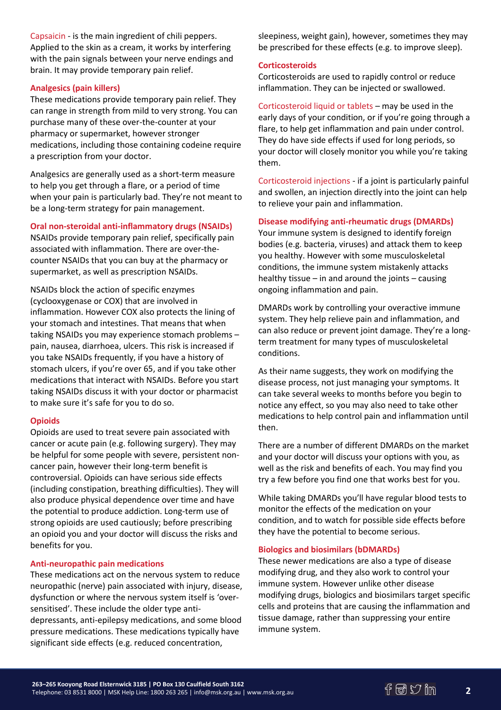Capsaicin - is the main ingredient of chili peppers. Applied to the skin as a cream, it works by interfering with the pain signals between your nerve endings and brain. It may provide temporary pain relief.

## **Analgesics (pain killers)**

These medications provide temporary pain relief. They can range in strength from mild to very strong. You can purchase many of these over-the-counter at your pharmacy or supermarket, however stronger medications, including those containing codeine require a prescription from your doctor.

Analgesics are generally used as a short-term measure to help you get through a flare, or a period of time when your pain is particularly bad. They're not meant to be a long-term strategy for pain management.

## **Oral non-steroidal anti-inflammatory drugs (NSAIDs)**

NSAIDs provide temporary pain relief, specifically pain associated with inflammation. There are over-thecounter NSAIDs that you can buy at the pharmacy or supermarket, as well as prescription NSAIDs.

NSAIDs block the action of specific enzymes (cyclooxygenase or COX) that are involved in inflammation. However COX also protects the lining of your stomach and intestines. That means that when taking NSAIDs you may experience stomach problems – pain, nausea, diarrhoea, ulcers. This risk is increased if you take NSAIDs frequently, if you have a history of stomach ulcers, if you're over 65, and if you take other medications that interact with NSAIDs. Before you start taking NSAIDs discuss it with your doctor or pharmacist to make sure it's safe for you to do so.

## **Opioids**

Opioids are used to treat severe pain associated with cancer or acute pain (e.g. following surgery). They may be helpful for some people with severe, persistent noncancer pain, however their long-term benefit is controversial. Opioids can have serious side effects (including constipation, breathing difficulties). They will also produce physical dependence over time and have the potential to produce addiction. Long-term use of strong opioids are used cautiously; before prescribing an opioid you and your doctor will discuss the risks and benefits for you.

## **Anti-neuropathic pain medications**

These medications act on the nervous system to reduce neuropathic (nerve) pain associated with injury, disease, dysfunction or where the nervous system itself is 'oversensitised'. These include the older type antidepressants, anti-epilepsy medications, and some blood pressure medications. These medications typically have significant side effects (e.g. reduced concentration,

sleepiness, weight gain), however, sometimes they may be prescribed for these effects (e.g. to improve sleep).

## **Corticosteroids**

Corticosteroids are used to rapidly control or reduce inflammation. They can be injected or swallowed.

Corticosteroid liquid or tablets – may be used in the early days of your condition, or if you're going through a flare, to help get inflammation and pain under control. They do have side effects if used for long periods, so your doctor will closely monitor you while you're taking them.

Corticosteroid injections - if a joint is particularly painful and swollen, an injection directly into the joint can help to relieve your pain and inflammation.

## **Disease modifying anti-rheumatic drugs (DMARDs)**

Your immune system is designed to identify foreign bodies (e.g. bacteria, viruses) and attack them to keep you healthy. However with some musculoskeletal conditions, the immune system mistakenly attacks healthy tissue – in and around the joints – causing ongoing inflammation and pain.

DMARDs work by controlling your overactive immune system. They help relieve pain and inflammation, and can also reduce or prevent joint damage. They're a longterm treatment for many types of musculoskeletal conditions.

As their name suggests, they work on modifying the disease process, not just managing your symptoms. It can take several weeks to months before you begin to notice any effect, so you may also need to take other medications to help control pain and inflammation until then.

There are a number of different DMARDs on the market and your doctor will discuss your options with you, as well as the risk and benefits of each. You may find you try a few before you find one that works best for you.

While taking DMARDs you'll have regular blood tests to monitor the effects of the medication on your condition, and to watch for possible side effects before they have the potential to become serious.

## **Biologics and biosimilars (bDMARDs)**

These newer medications are also a type of disease modifying drug, and they also work to control your immune system. However unlike other disease modifying drugs, biologics and biosimilars target specific cells and proteins that are causing the inflammation and tissue damage, rather than suppressing your entire immune system.

**2**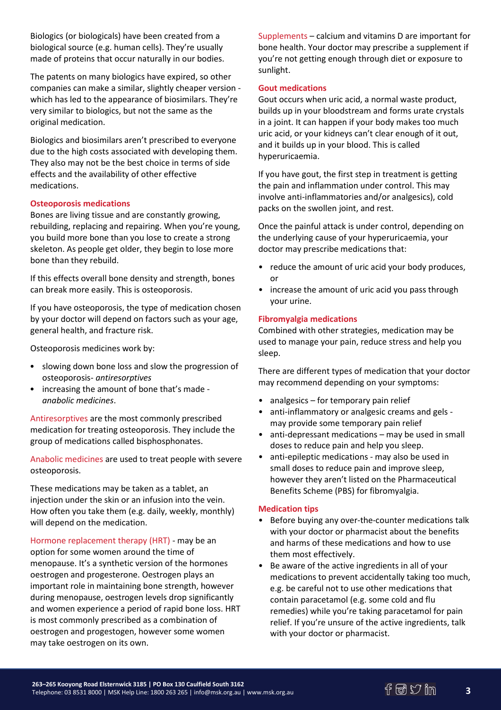Biologics (or biologicals) have been created from a biological source (e.g. human cells). They're usually made of proteins that occur naturally in our bodies.

The patents on many biologics have expired, so other companies can make a similar, slightly cheaper version which has led to the appearance of biosimilars. They're very similar to biologics, but not the same as the original medication.

Biologics and biosimilars aren't prescribed to everyone due to the high costs associated with developing them. They also may not be the best choice in terms of side effects and the availability of other effective medications.

## **Osteoporosis medications**

Bones are living tissue and are constantly growing, rebuilding, replacing and repairing. When you're young, you build more bone than you lose to create a strong skeleton. As people get older, they begin to lose more bone than they rebuild.

If this effects overall bone density and strength, bones can break more easily. This is osteoporosis.

If you have osteoporosis, the type of medication chosen by your doctor will depend on factors such as your age, general health, and fracture risk.

Osteoporosis medicines work by:

- slowing down bone loss and slow the progression of osteoporosis- *antiresorptives*
- increasing the amount of bone that's made *anabolic medicines*.

Antiresorptives are the most commonly prescribed medication for treating osteoporosis. They include the group of medications called bisphosphonates.

Anabolic medicines are used to treat people with severe osteoporosis.

These medications may be taken as a tablet, an injection under the skin or an infusion into the vein. How often you take them (e.g. daily, weekly, monthly) will depend on the medication.

Hormone replacement therapy (HRT) - may be an option for some women around the time of menopause. It's a synthetic version of the hormones oestrogen and progesterone. Oestrogen plays an important role in maintaining bone strength, however during menopause, oestrogen levels drop significantly and women experience a period of rapid bone loss. HRT is most commonly prescribed as a combination of oestrogen and progestogen, however some women may take oestrogen on its own.

Supplements – calcium and vitamins D are important for bone health. Your doctor may prescribe a supplement if you're not getting enough through diet or exposure to sunlight.

#### **Gout medications**

Gout occurs when uric acid, a normal waste product, builds up in your bloodstream and forms urate crystals in a joint. It can happen if your body makes too much uric acid, or your kidneys can't clear enough of it out, and it builds up in your blood. This is called hyperuricaemia.

If you have gout, the first step in treatment is getting the pain and inflammation under control. This may involve anti-inflammatories and/or analgesics), cold packs on the swollen joint, and rest.

Once the painful attack is under control, depending on the underlying cause of your hyperuricaemia, your doctor may prescribe medications that:

- reduce the amount of uric acid your body produces, or
- increase the amount of uric acid you pass through your urine.

#### **Fibromyalgia medications**

Combined with other strategies, medication may be used to manage your pain, reduce stress and help you sleep.

There are different types of medication that your doctor may recommend depending on your symptoms:

- analgesics for temporary pain relief
- anti-inflammatory or analgesic creams and gels may provide some temporary pain relief
- anti-depressant medications may be used in small doses to reduce pain and help you sleep.
- anti-epileptic medications may also be used in small doses to reduce pain and improve sleep, however they aren't listed on the Pharmaceutical Benefits Scheme (PBS) for fibromyalgia.

#### **Medication tips**

- Before buying any over-the-counter medications talk with your doctor or pharmacist about the benefits and harms of these medications and how to use them most effectively.
- Be aware of the active ingredients in all of your medications to prevent accidentally taking too much, e.g. be careful not to use other medications that contain paracetamol (e.g. some cold and flu remedies) while you're taking paracetamol for pain relief. If you're unsure of the active ingredients, talk with your doctor or pharmacist.

**3**